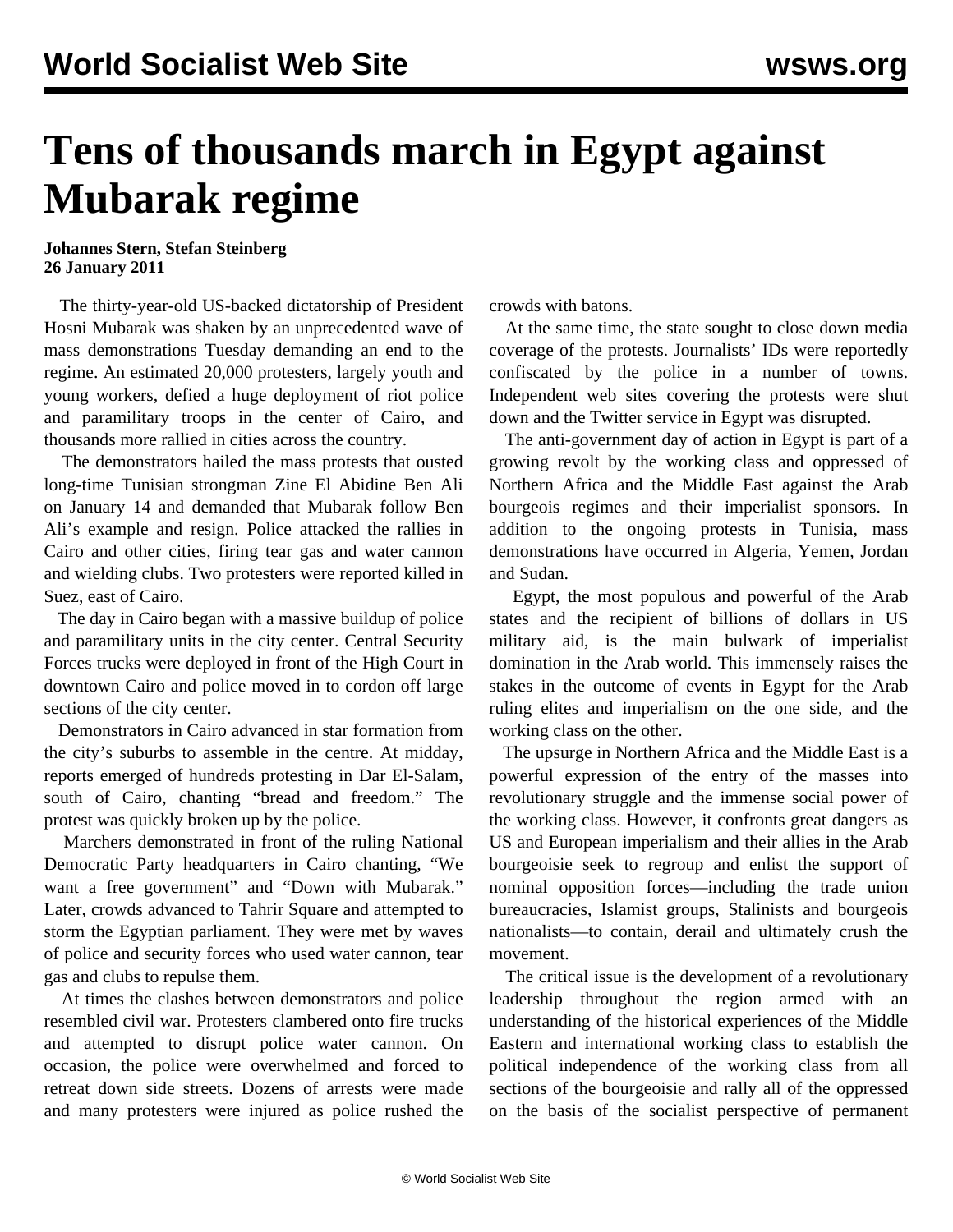## **Tens of thousands march in Egypt against Mubarak regime**

**Johannes Stern, Stefan Steinberg 26 January 2011**

 The thirty-year-old US-backed dictatorship of President Hosni Mubarak was shaken by an unprecedented wave of mass demonstrations Tuesday demanding an end to the regime. An estimated 20,000 protesters, largely youth and young workers, defied a huge deployment of riot police and paramilitary troops in the center of Cairo, and thousands more rallied in cities across the country.

 The demonstrators hailed the mass protests that ousted long-time Tunisian strongman Zine El Abidine Ben Ali on January 14 and demanded that Mubarak follow Ben Ali's example and resign. Police attacked the rallies in Cairo and other cities, firing tear gas and water cannon and wielding clubs. Two protesters were reported killed in Suez, east of Cairo.

 The day in Cairo began with a massive buildup of police and paramilitary units in the city center. Central Security Forces trucks were deployed in front of the High Court in downtown Cairo and police moved in to cordon off large sections of the city center.

 Demonstrators in Cairo advanced in star formation from the city's suburbs to assemble in the centre. At midday, reports emerged of hundreds protesting in Dar El-Salam, south of Cairo, chanting "bread and freedom." The protest was quickly broken up by the police.

 Marchers demonstrated in front of the ruling National Democratic Party headquarters in Cairo chanting, "We want a free government" and "Down with Mubarak." Later, crowds advanced to Tahrir Square and attempted to storm the Egyptian parliament. They were met by waves of police and security forces who used water cannon, tear gas and clubs to repulse them.

 At times the clashes between demonstrators and police resembled civil war. Protesters clambered onto fire trucks and attempted to disrupt police water cannon. On occasion, the police were overwhelmed and forced to retreat down side streets. Dozens of arrests were made and many protesters were injured as police rushed the crowds with batons.

 At the same time, the state sought to close down media coverage of the protests. Journalists' IDs were reportedly confiscated by the police in a number of towns. Independent web sites covering the protests were shut down and the Twitter service in Egypt was disrupted.

 The anti-government day of action in Egypt is part of a growing revolt by the working class and oppressed of Northern Africa and the Middle East against the Arab bourgeois regimes and their imperialist sponsors. In addition to the ongoing protests in Tunisia, mass demonstrations have occurred in Algeria, Yemen, Jordan and Sudan.

 Egypt, the most populous and powerful of the Arab states and the recipient of billions of dollars in US military aid, is the main bulwark of imperialist domination in the Arab world. This immensely raises the stakes in the outcome of events in Egypt for the Arab ruling elites and imperialism on the one side, and the working class on the other.

 The upsurge in Northern Africa and the Middle East is a powerful expression of the entry of the masses into revolutionary struggle and the immense social power of the working class. However, it confronts great dangers as US and European imperialism and their allies in the Arab bourgeoisie seek to regroup and enlist the support of nominal opposition forces—including the trade union bureaucracies, Islamist groups, Stalinists and bourgeois nationalists—to contain, derail and ultimately crush the movement.

 The critical issue is the development of a revolutionary leadership throughout the region armed with an understanding of the historical experiences of the Middle Eastern and international working class to establish the political independence of the working class from all sections of the bourgeoisie and rally all of the oppressed on the basis of the socialist perspective of permanent